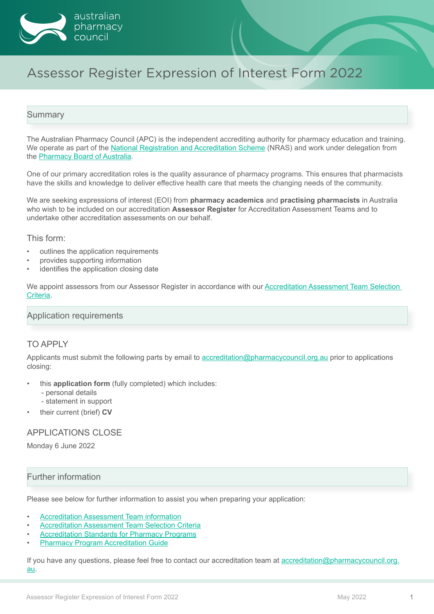

# Assessor Register Expression of Interest Form 2022

## **Summary**

The Australian Pharmacy Council (APC) is the independent accrediting authority for pharmacy education and training. We operate as part of the [National Registration and Accreditation Scheme](https://www.health.gov.au/initiatives-and-programs/national-registration-and-accreditation-scheme) (NRAS) and work under delegation from the [Pharmacy Board of Australia](https://www.pharmacyboard.gov.au/).

One of our primary accreditation roles is the quality assurance of pharmacy programs. This ensures that pharmacists have the skills and knowledge to deliver effective health care that meets the changing needs of the community.

We are seeking expressions of interest (EOI) from **pharmacy academics** and **practising pharmacists** in Australia who wish to be included on our accreditation **Assessor Register** for Accreditation Assessment Teams and to undertake other accreditation assessments on our behalf.

This form:

- outlines the application requirements
- provides supporting information
- identifies the application closing date

We appoint assessors from our Assessor Register in accordance with our [Accreditation Assessment Team Selection](https://www.pharmacycouncil.org.au/resources/site-evaluation-team-selection-criteria)  [Criteria.](https://www.pharmacycouncil.org.au/resources/site-evaluation-team-selection-criteria)

## Application requirements

### TO APPLY

Applicants must submit the following parts by email to [accreditation@pharmacycouncil.org.au](mailto:accreditation%40pharmacycouncil.org.au?subject=) prior to applications closing:

- this **application form** (fully completed) which includes:
	- personal details
	- statement in support
- their current (brief) **CV**

### APPLICATIONS CLOSE

Monday 6 June 2022

## Further information

Please see below for further information to assist you when preparing your application:

- **[Accreditation Assessment Team information](https://www.pharmacycouncil.org.au/resources/apc-site-evaluation-team-visits)**
- [Accreditation Assessment Team Selection Criteria](https://www.pharmacycouncil.org.au/resources/site-evaluation-team-selection-criteria)
- **[Accreditation Standards for Pharmacy Programs](https://www.pharmacycouncil.org.au/resources/pharmacy-program-standards)**
- **[Pharmacy Program Accreditation Guide](https://www.pharmacycouncil.org.au/resources/Pharmacy-Program-Accreditation-Guide)**

If you have any questions, please feel free to contact our accreditation team at [accreditation@pharmacycouncil.org.](mailto:accreditation%40pharmacycouncil.org.au?subject=) [au](mailto:accreditation%40pharmacycouncil.org.au?subject=).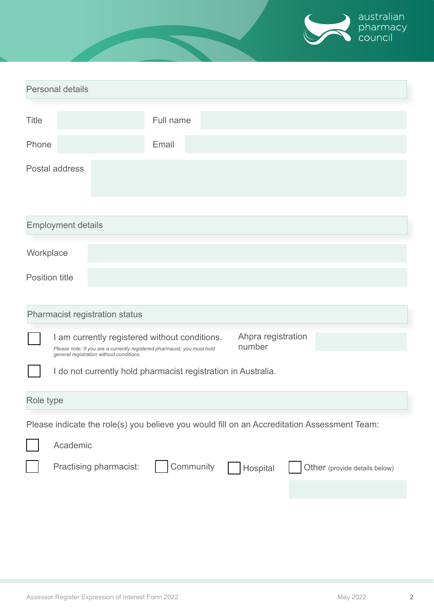

| <b>Personal details</b>                                                                     |                                                               |                                                                                                                                                           |  |          |  |                               |  |  |
|---------------------------------------------------------------------------------------------|---------------------------------------------------------------|-----------------------------------------------------------------------------------------------------------------------------------------------------------|--|----------|--|-------------------------------|--|--|
| <b>Title</b>                                                                                |                                                               | Full name                                                                                                                                                 |  |          |  |                               |  |  |
| Phone                                                                                       |                                                               | Email                                                                                                                                                     |  |          |  |                               |  |  |
|                                                                                             | Postal address                                                |                                                                                                                                                           |  |          |  |                               |  |  |
| <b>Employment details</b>                                                                   |                                                               |                                                                                                                                                           |  |          |  |                               |  |  |
| Workplace                                                                                   |                                                               |                                                                                                                                                           |  |          |  |                               |  |  |
| <b>Position title</b>                                                                       |                                                               |                                                                                                                                                           |  |          |  |                               |  |  |
| Pharmacist registration status                                                              |                                                               |                                                                                                                                                           |  |          |  |                               |  |  |
|                                                                                             | general registration without conditions.                      | Ahpra registration<br>I am currently registered without conditions.<br>number<br>Please note: If you are a currently registered pharmacist, you must hold |  |          |  |                               |  |  |
|                                                                                             | I do not currently hold pharmacist registration in Australia. |                                                                                                                                                           |  |          |  |                               |  |  |
| Role type                                                                                   |                                                               |                                                                                                                                                           |  |          |  |                               |  |  |
| Please indicate the role(s) you believe you would fill on an Accreditation Assessment Team: |                                                               |                                                                                                                                                           |  |          |  |                               |  |  |
|                                                                                             | Academic                                                      |                                                                                                                                                           |  |          |  |                               |  |  |
|                                                                                             | Practising pharmacist:                                        | Community                                                                                                                                                 |  | Hospital |  | Other (provide details below) |  |  |